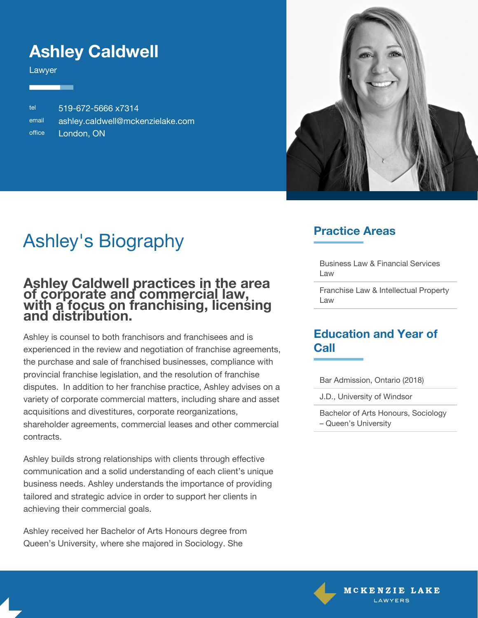## **Ashley Caldwell**

Lawyer

tel 519-672-5666 x7314 email [ashley.caldwell@mckenzielake.com](#page--1-0) office London, ON



# Ashley's Biography

#### **Ashley Caldwell practices in the area of corporate and commercial law, with a focus on franchising, licensing and distribution.**

Ashley is counsel to both franchisors and franchisees and is experienced in the review and negotiation of franchise agreements, the purchase and sale of franchised businesses, compliance with provincial franchise legislation, and the resolution of franchise disputes. In addition to her franchise practice, Ashley advises on a variety of corporate commercial matters, including share and asset acquisitions and divestitures, corporate reorganizations, shareholder agreements, commercial leases and other commercial contracts.

Ashley builds strong relationships with clients through effective communication and a solid understanding of each client's unique business needs. Ashley understands the importance of providing tailored and strategic advice in order to support her clients in achieving their commercial goals.

Ashley received her Bachelor of Arts Honours degree from Queen's University, where she majored in Sociology. She

## **Practice Areas**

Business Law & Financial Services Law

Franchise Law & Intellectual Property Law

### **Education and Year of Call**

Bar Admission, Ontario (2018)

J.D., University of Windsor

Bachelor of Arts Honours, Sociology – Queen's University